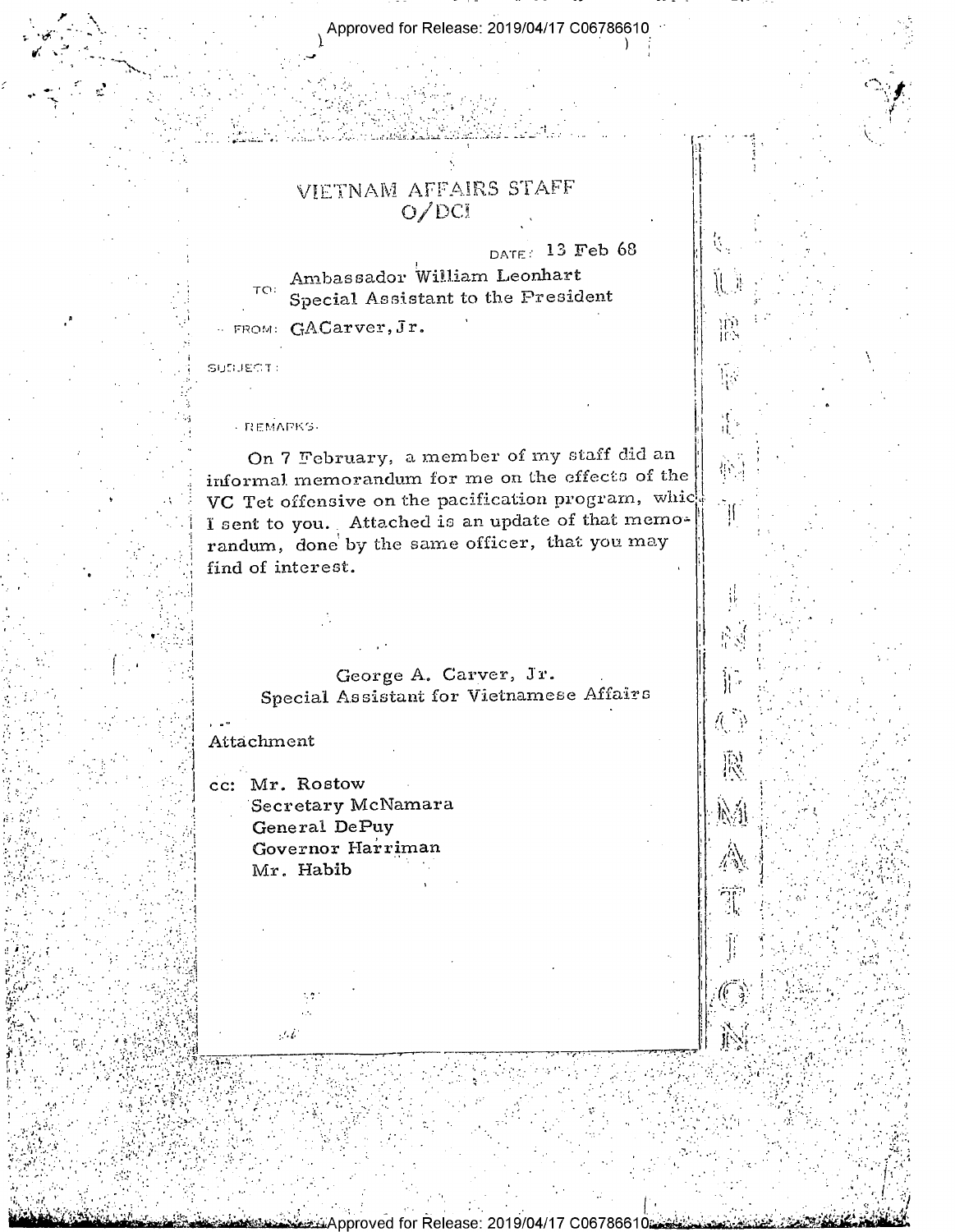# VIETNAM AFFAIRS STAFF  $O/DCI$

DATE: 13 Feb 68

 $\frac{1}{2}$ 

### Ambassador William Leonhart  $TO:$ Special Assistant to the President

- FROM: GACarver, Jr.

SUDJECT:

REMARKS

On 7 February, a member of my staff did an informal memorandum for me on the effects of the VC Tet offensive on the pacification program, whic I sent to you. Attached is an update of that memorandum, done by the same officer, that you may find of interest.

> George A. Carver, Jr. Special Assistant for Vietnamese Affairs

> > for Release: 2019/04/17 C067866

## Attachment

cc: Mr. Rostow Secretary McNamara General DePuy Governor Harriman Mr. Habib

 $\mathcal{G}, \mathcal{E}$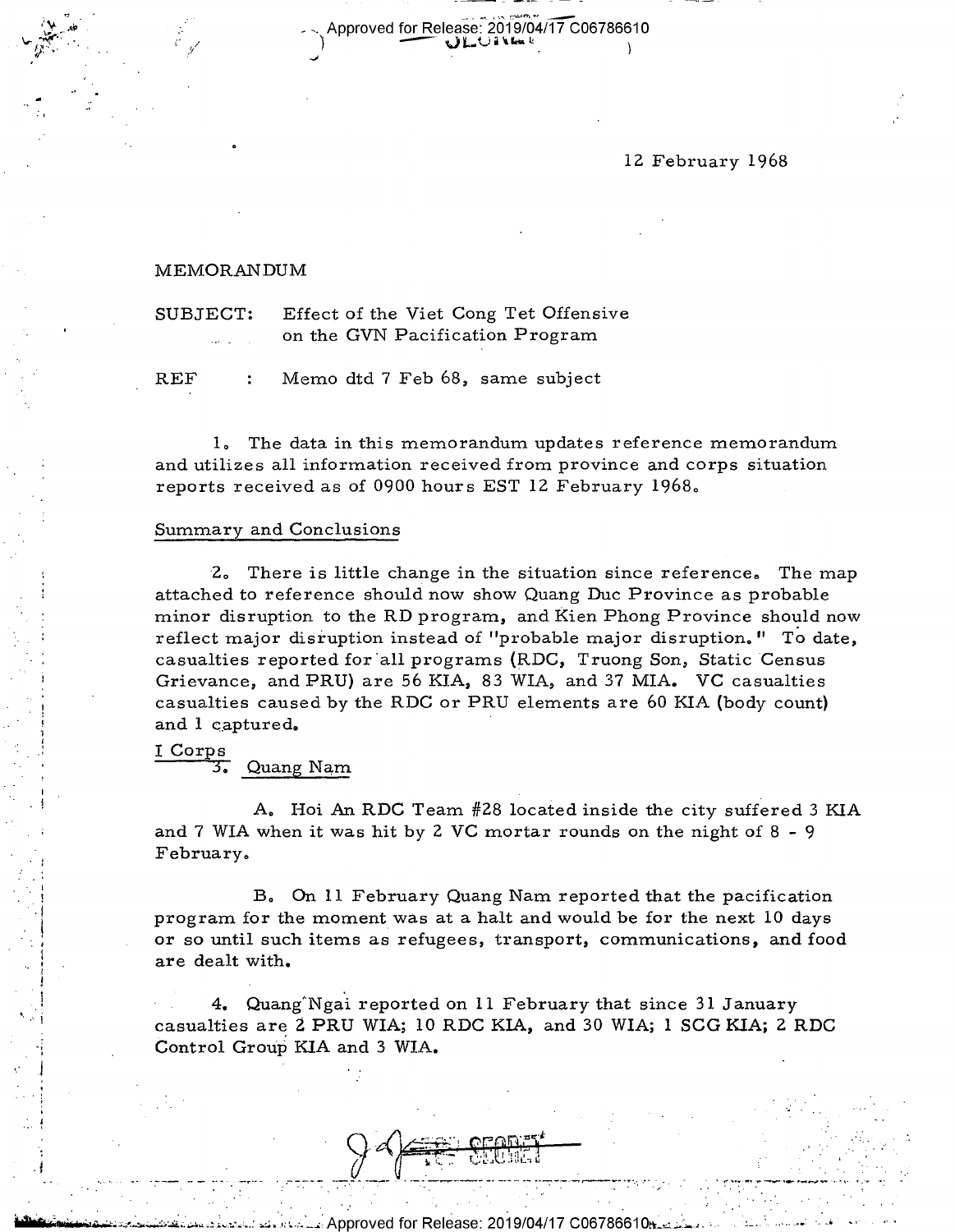12 February 1968

-

## MEMQRAN DUM

 $\frac{1}{2}$ .  $\frac{1}{2}$ .  $\frac{1}{2}$ .  $\frac{1}{2}$ .  $\frac{1}{2}$ .  $\frac{1}{2}$ .  $\frac{1}{2}$ .  $\frac{1}{2}$ .  $\frac{1}{2}$ .  $\frac{1}{2}$ .  $\frac{1}{2}$ .  $\frac{1}{2}$ .  $\frac{1}{2}$ .  $\frac{1}{2}$ .  $\frac{1}{2}$ .  $\frac{1}{2}$ .  $\frac{1}{2}$ .  $\frac{1}{2}$ .  $\frac{1}{2}$ .  $\frac{1}{2}$ .

 $\sim$  Approved for Release: 2019/04/17 C06786610  $\mathcal{L}_{\mathcal{G}}(y)$  , i.e.  $\mathcal{G}(y)$  , i.e.  $\mathcal{G}(y)$  , i.e.  $\mathcal{G}(y)$  , i.e.  $\mathcal{G}(y)$ 

> SUBJECT: Effect of the Viet Cong Tet Offensive on the GVN Pacification Program

REF : Memo dtd 7 Feb 68, same subject

1., The data in this memorandum updates reference memorandum and utilizes all information received from province and corps situation reports received as of 0900 hours EST 12 February 1968.,

#### Summary and Conclusions

2. There is little change in the situation since reference. The map attached to reference should now show Quang Duc Province as probable minor disruption to the RD program, and Kien Phong Province should now reflect major disruption instead of "probable major disruption. " To date, casualties reported for'all programs (RDC, Truong Son, Static Census Grievance, and PRU) are 56 KIA, 83 WIA, and 37 MIA. VC casualties casualties caused by the RDC or PRU elements are 60 KIA (body count) and 1 captured.

I Corps

1

 $\mathbf{r}$ 

3. Quang Nam

 $\blacksquare$ 

A. Hoi An RDC Team #28 located inside the city suffered 3 KIA and 7 WIA when it was hit by 2 VC mortar rounds on the night of 8 - <sup>9</sup> February.

B. On 11 February Quang Nam reported that the pacification program for the moment was at a halt and would be for the next 10 days or so until such items as refugees, transport, communications, and food are dealt with.

. 4. Quang"Ngai reported on ll February that since 31 January casualties are 2 PRU WIA; 10 RDC KIA, and 30 WIA; 1 SCG KIA; 2 RDC Control Group KIA and 3 WIA.

 $\mathbf{y} \in \mathbb{R}^{n \times n}$  , where  $\mathbf{y}$  $\left( \begin{array}{ccc} \begin{array}{ccc} \text{if } & \text{if } & \text{if } & \text{if } & \text{if } & \text{if } & \text{if } & \text{if } & \text{if } & \text{if } & \text{if } & \text{if } & \text{if } & \text{if } & \text{if } & \text{if } & \text{if } & \text{if } & \text{if } & \text{if } & \text{if } & \text{if } & \text{if } & \text{if } & \text{if } & \text{if } & \text{if } & \text{if } & \text{if } & \text{if } & \text{if } & \text{if } & \text{if } & \text{if }$ t. \_. . .-\_\_.. .\_\_.. ... \_.,. \_.\_.\_.\_. \_\_ \_- ... . \_ . ... "I , ...\_.v\_.. ,|»\_..,. . . \_-.

5-0 . .-.T\_.~.§Ap.pr0ved for Release: 2019/04/17 coe7ses1os;;;-.;..,.-.3. -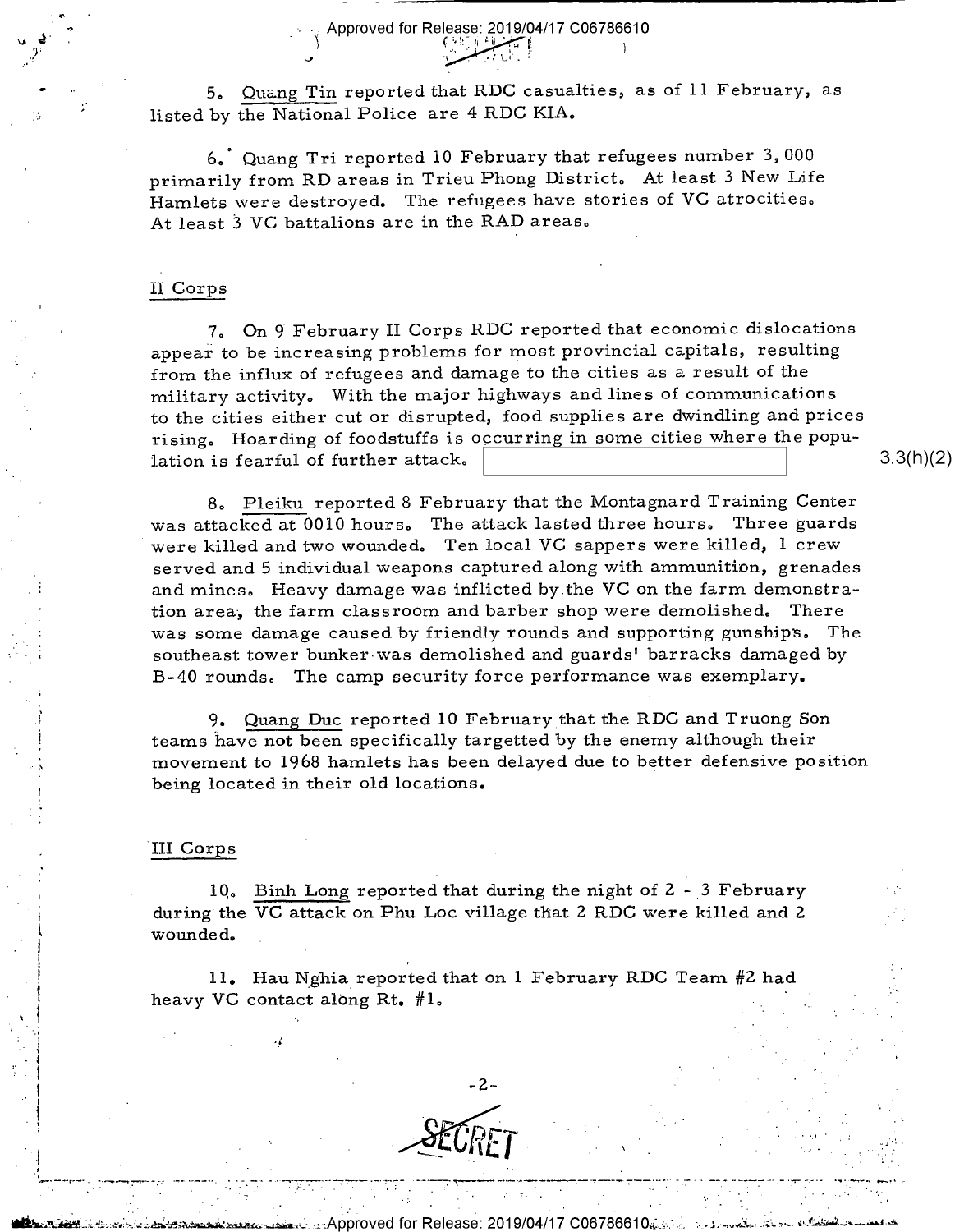5. Quang Tin reported that RDC casualties, as of 11 February, as listed by the National Police are 4 RDC KIA.

-. Approved for Release: 2019/04/17 C06786610

— — % l\_ \_r\_

6,' Quang Tri reported 10 February that refugees number 3, 000 primarily from RD areas in Trieu Phong District» At least 3 New Life Hamlets were destroyed, The refugees have stories of VC atrocities. At least 3 VC battalions are in the RAD areas.'

## ll Corps

r-  $\rightarrow$ 

> 7. On 9' February II Corps RDC reported that economic dislocations appear to be increasing problems for most provincial capitals, resulting from the influx of refugees and damage to the cities as a result of the military activity. With the major highways and lines of communications to the cities either cut or disrupted, food supplies are dwindling and prices rising. Hoarding of foodstuffs is occurring in some cities where the population is fearful of further attack.  $\begin{array}{ccc} \ \ 3.3(11)(2) \end{array}$

8. Pleiku reported 8 February that the Montagnard Training Center was attacked at 0010 hours. The attack lasted three hours. Three guards were killed and two wounded. Ten local VC sappers were killed, l crew served and 5 individual weapons captured along with ammunition, grenades and mines, Heavy damage was inflicted by.the VC on the farm demonstration area, the farm classroom and barber shop were demolished. There was some damage caused by friendly rounds and supporting gunships. The southeast tower bunker-was demolished and guards' barracks damaged by B-40 rounds. The camp security force performance was exemplary.

9. Quang Duc reported 1O Februarythat the RDC and Truong Son teams have not been specifically targetted by the enemy although their movement to 1968 hamlets has been delayed due to better defensive position being located in their old locations.

## 'III Corps

, In

.' I

 $\mathbf{r}$ 

. .

10. Binh Long reported that during the night of  $2 - 3$  February during the VC attack on Phu Loc village that 2 RDC were killed and 2 wounded. \_

ll. Hau N\_ghia\_ reported that on 1 February RDC Team #2 had heavy VC contact along Rt.  $#1$ .



a.§Appr0ved for Release: 2019/04/17' 00676661 ~....;} i'...f§e'\$Idl|l§l\_."\\_z..-\l>-k

<sup>D</sup>...\_\_-\_,.\_.. ..\_.\_.\_..l-,\_. \_ - \_.-.-l.,\_.\_\_...-T\_\_-\_.\_,,--- --\_,\_\_.\_.-..\_...\_\_-.\_\_\_\_.,\_\_\_\_\_\_.\_.. .\_ \_--i\_-\_\_...\_.,\_-,...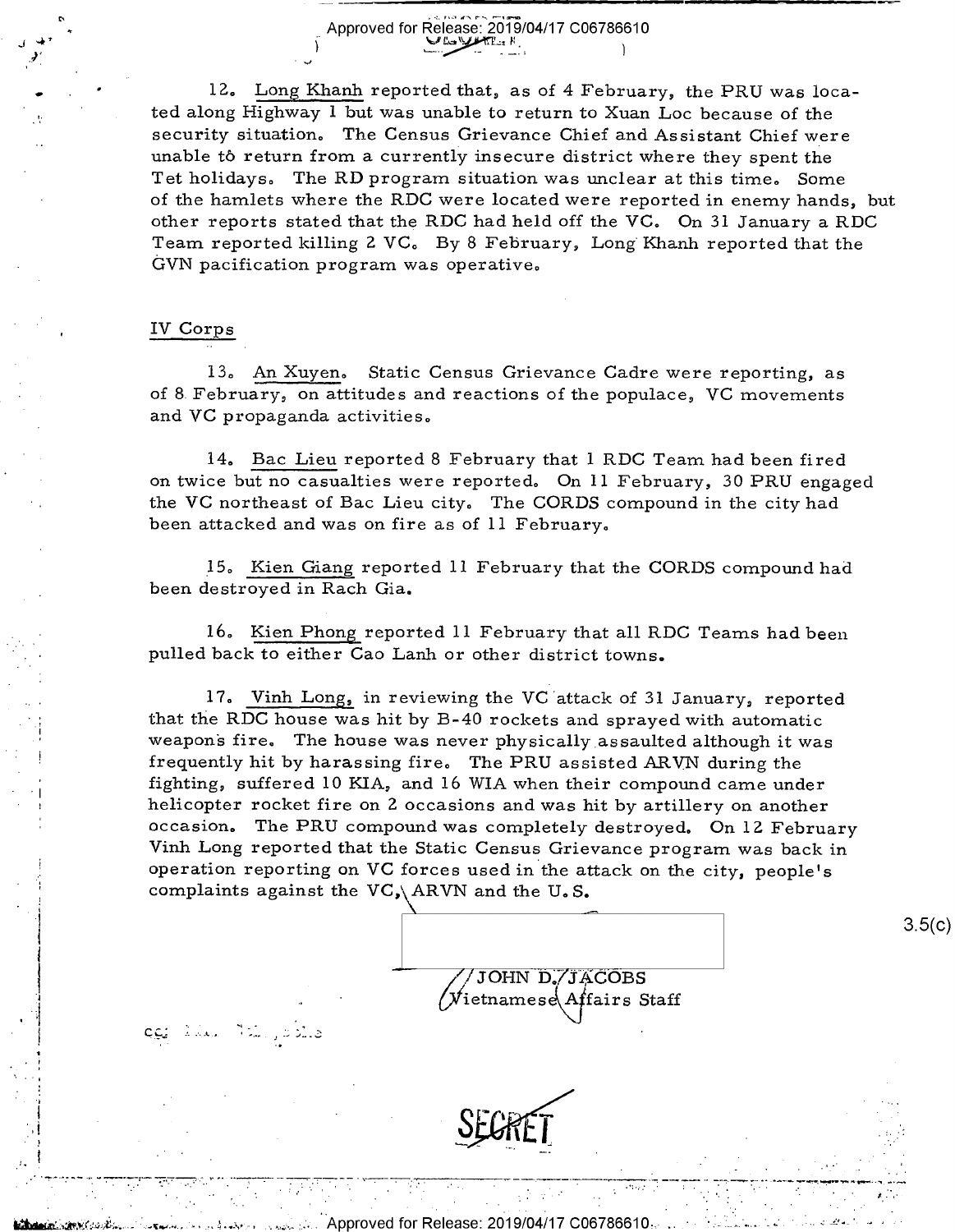12. Long Khanh reported that, as of 4 February, the PRU was located along Highway 1 but was unable to return to Xuan Loc because of the security situation. The Census Grievance Chief and Assistant Chief were unable to return from a currently insecure district where they spent the Tet holidays. The RD program situation was unclear at this time. Some of the hamlets where the RDC were located were reported in enemy hands, but other reports stated that the RDC had held off the VC. On 31 January a RDC Team reported killing 2 VC. By 8 February, Long Khanh reported that the GVN pacification program was operative.

\_ \_ gm <sup>J</sup>LTJ \_ \_ \_ \_ \_ —-

## IV Corps

دينده <sub>با</sub> يند المدينة ال<u>يو</u>و

.\_,-..\_\_\_\_.\_\_\_-.\_.\_\_\_.--,....7'\_\_\_ ,. \_ \_

P'

÷.

J ~41'

'

,

J'

 $\bullet$  .

 $\ddot{\phantom{1}}$ 

13. An Xuyen. Static Census Grievance Cadre were reporting, as of 8. February, on attitudes and reactions of the populace, VC movements and VC propaganda activities,

14. Bac Lieu reported 8 February that 1 RDC Team had been fired on twice but no casualties were reported. On ll February, 30 PRU engaged the VC northeast of Bac Lieu city. The CORDS compound in the city had been attacked and was on fire as of ll February.

\_l5., Kien Giang reported ll February that the CORDS compound had been destroyed in Rach Gia.

16. Kien Phong reported ll February that all RDC Teams had been pulled back to either Cao Lanh or other district towns.

17.. Vinh Long, in reviewing the VC'attack of 31 January, reported that the RDC house was hit by B-40 rockets and sprayed with automatic weapons fire. The house was never physically assaulted although it was ! frequently hit by harassing fire, The PRU assisted ARVN during the \_| fighting, suffered 10 KIA, and 16 WIA when their compound came under helicopter rocket fire on 2 occasions and was hit by artillery on another occasion. The PRU compound was completely destroyed. On 12 February Vinh Long reported that the Static Census Grievance program was back in operation reporting on VC forces used in the attack on the city, people's complaints against the VC, ARVN and the U.S.



 $\gamma$  . The set of  $\gamma$  ,  $\gamma$  ,  $\gamma$  ,  $\gamma$  ,  $\gamma$  ,  $\gamma$  ,  $\gamma$  ,  $\gamma$  ,  $\gamma$  ,  $\gamma$  ,  $\gamma$  ,  $\gamma$  ,  $\gamma$  ,  $\gamma$  ,  $\gamma$  ,  $\gamma$  ,  $\gamma$  ,  $\gamma$  ,  $\gamma$  ,  $\gamma$  ,  $\gamma$  ,  $\gamma$  ,  $\gamma$  ,  $\gamma$  ,  $\gamma$  ,  $\gamma$  ,  $\gamma$  ,  $\gamma$  ,  $\gamma$  ,

 $3.5(c)$ 



%. pproved for Release: 2019/04/17 C06786610